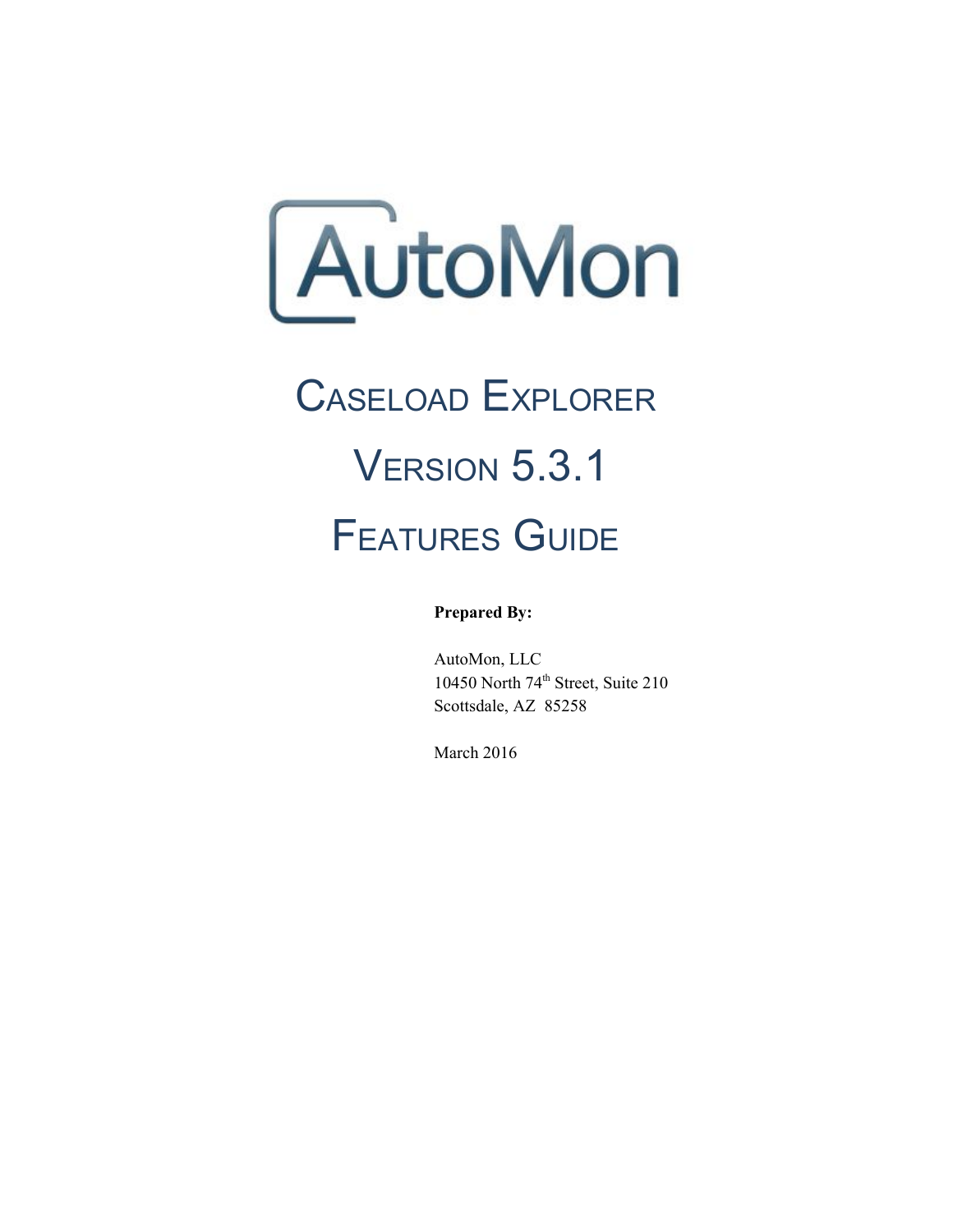AutoMon

# CASELOAD EXPLORER VERSION 5.3.1 FEATURES GUIDE

**Prepared By:**

AutoMon, LLC 10450 North 74 th Street, Suite 210 Scottsdale, AZ 85258

March 2016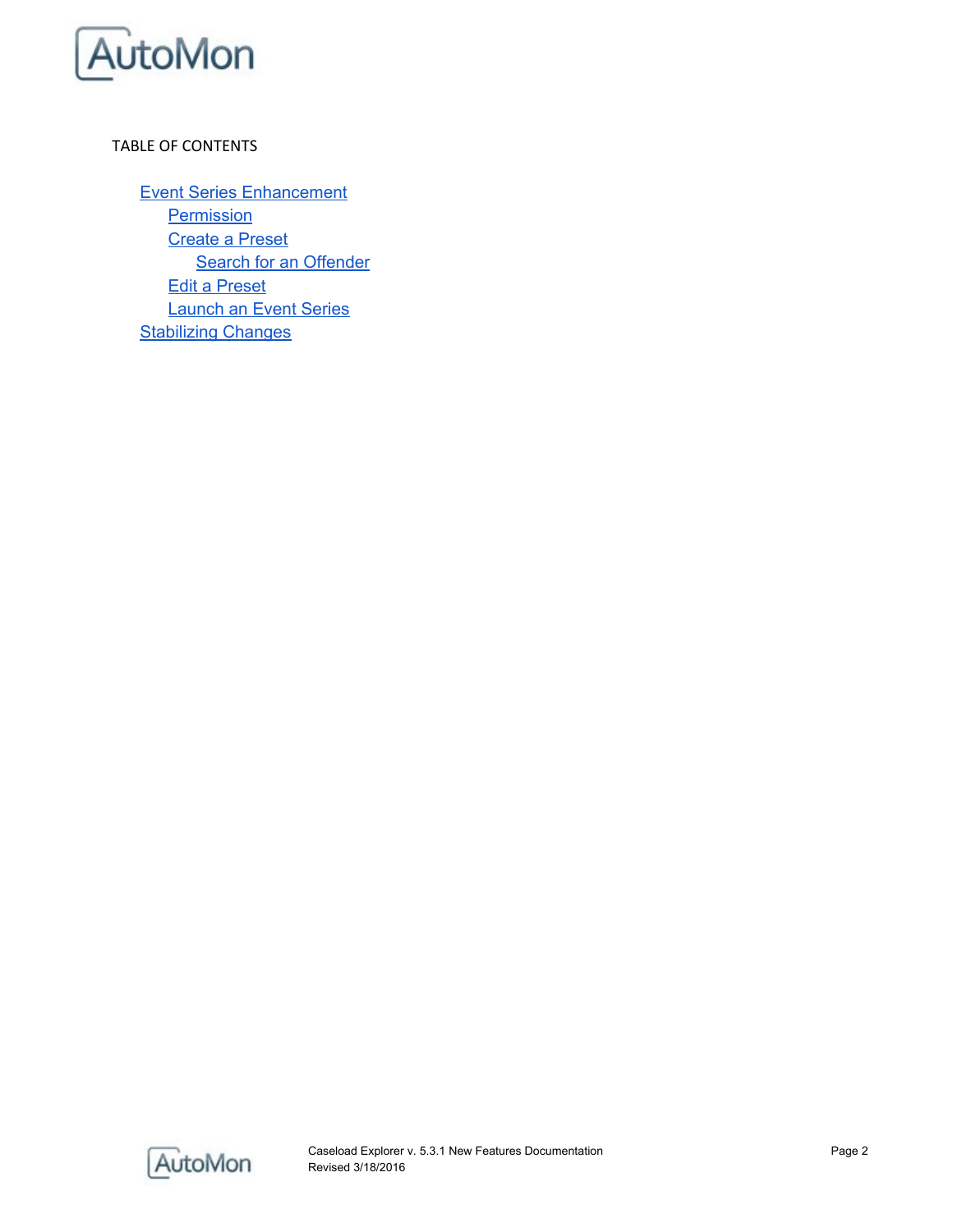

#### TABLE OF CONTENTS

Event Series [Enhancement](#page-2-0) **[Permission](#page-2-1)** [Create](#page-3-0) a Preset **Search for an [Offender](#page-3-1)** Edit a [Preset](#page-5-0) [Launch](#page-6-0) an Event Series **[Stabilizing](#page-7-0) Changes** 

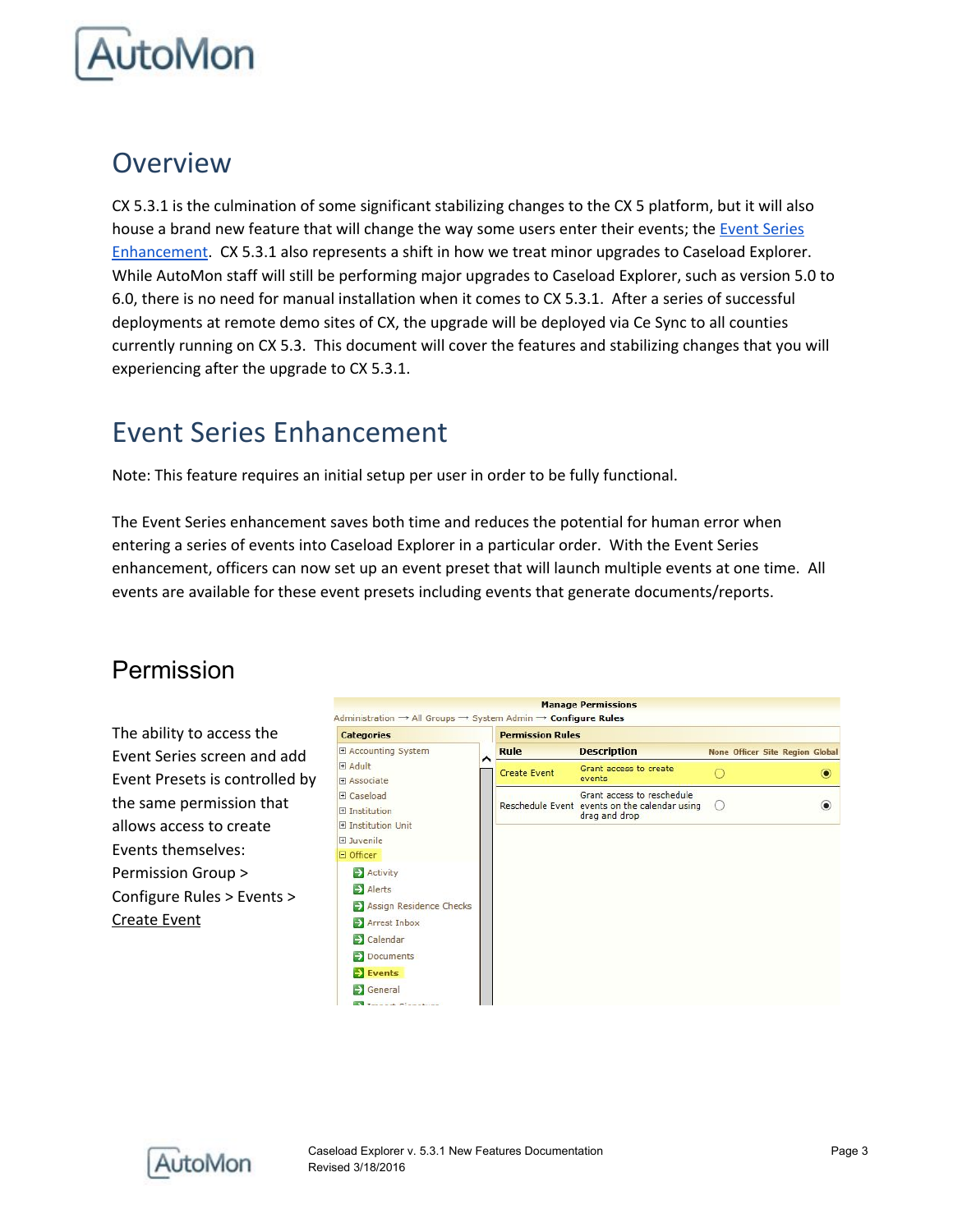

## Overview

CX 5.3.1 is the culmination of some significant stabilizing changes to the CX 5 platform, but it will also house a brand new feature that will change the way some users enter their events; the Event [Series](#page-2-0) [Enhancement.](#page-2-0) CX 5.3.1 also represents a shift in how we treat minor upgrades to Caseload Explorer. While AutoMon staff will still be performing major upgrades to Caseload Explorer, such as version 5.0 to 6.0, there is no need for manual installation when it comes to CX 5.3.1. After a series of successful deployments at remote demo sites of CX, the upgrade will be deployed via Ce Sync to all counties currently running on CX 5.3. This document will cover the features and stabilizing changes that you will experiencing after the upgrade to CX 5.3.1.

# <span id="page-2-0"></span>Event Series Enhancement

Note: This feature requires an initial setup per user in order to be fully functional.

The Event Series enhancement saves both time and reduces the potential for human error when entering a series of events into Caseload Explorer in a particular order. With the Event Series enhancement, officers can now set up an event preset that will launch multiple events at one time. All events are available for these event presets including events that generate documents/reports.

## <span id="page-2-1"></span>Permission

The ability to access the Event Series screen and add Event Presets is controlled by the same permission that allows access to create Events themselves: Permission Group > Configure Rules > Events > Create Event



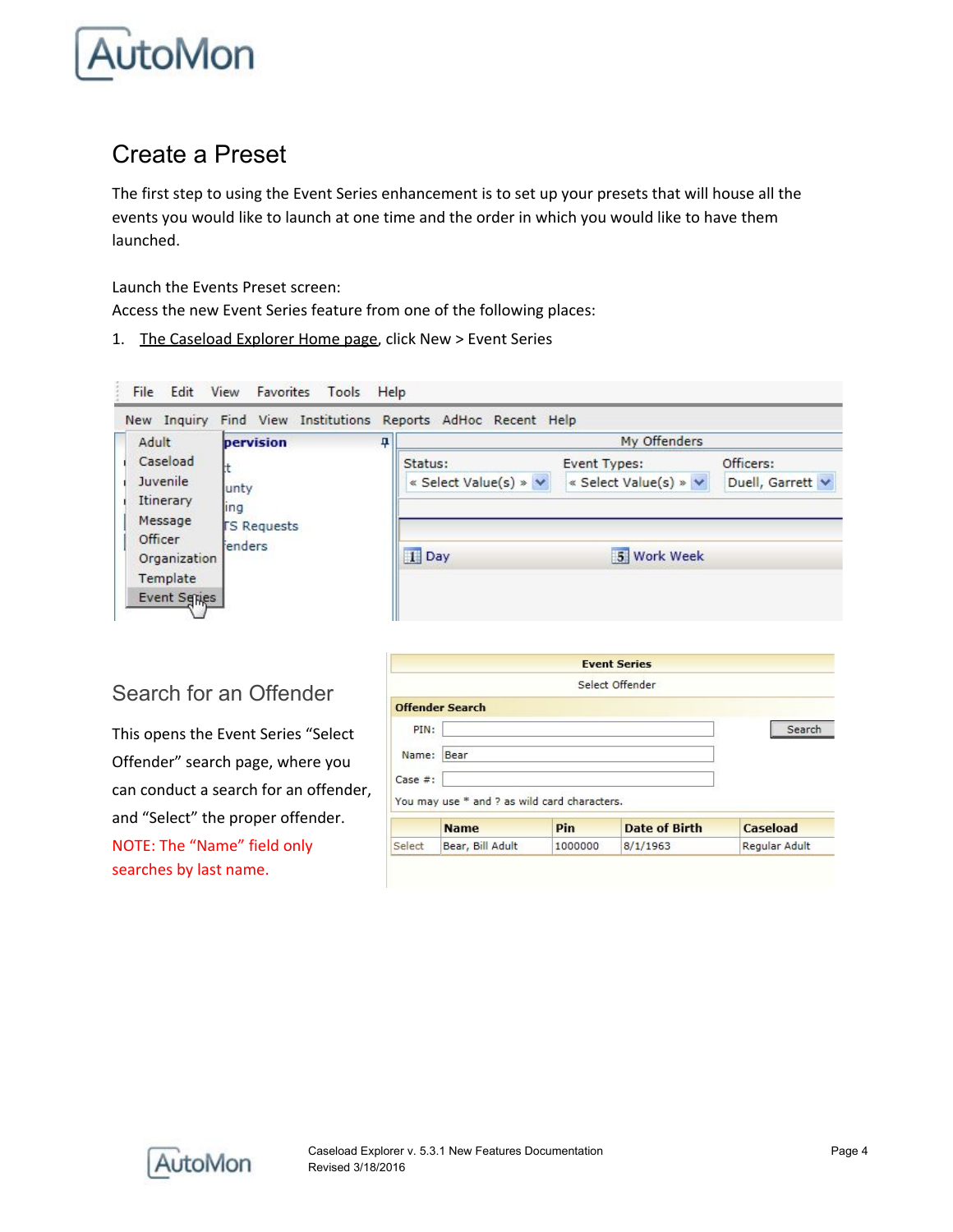

## <span id="page-3-0"></span>Create a Preset

The first step to using the Event Series enhancement is to set up your presets that will house all the events you would like to launch at one time and the order in which you would like to have them launched.

Launch the Events Preset screen:

Access the new Event Series feature from one of the following places:

1. The Caseload Explorer Home page, click New > Event Series



### <span id="page-3-1"></span>Search for an Offender

This opens the Event Series "Select Offender" search page, where you can conduct a search for an offender, and "Select" the proper offender. NOTE: The "Name" field only searches by last name.

|          |                                              |         | <b>Event Series</b>  |               |
|----------|----------------------------------------------|---------|----------------------|---------------|
|          |                                              |         | Select Offender      |               |
|          | <b>Offender Search</b>                       |         |                      |               |
| PIN:     |                                              |         |                      | Search        |
| Name:    | Bear                                         |         |                      |               |
| Case  #: |                                              |         |                      |               |
|          | You may use * and ? as wild card characters. |         |                      |               |
|          | <b>Name</b>                                  | Pin     | <b>Date of Birth</b> | Caseload      |
| Select   | Bear, Bill Adult                             | 1000000 | 8/1/1963             | Regular Adult |

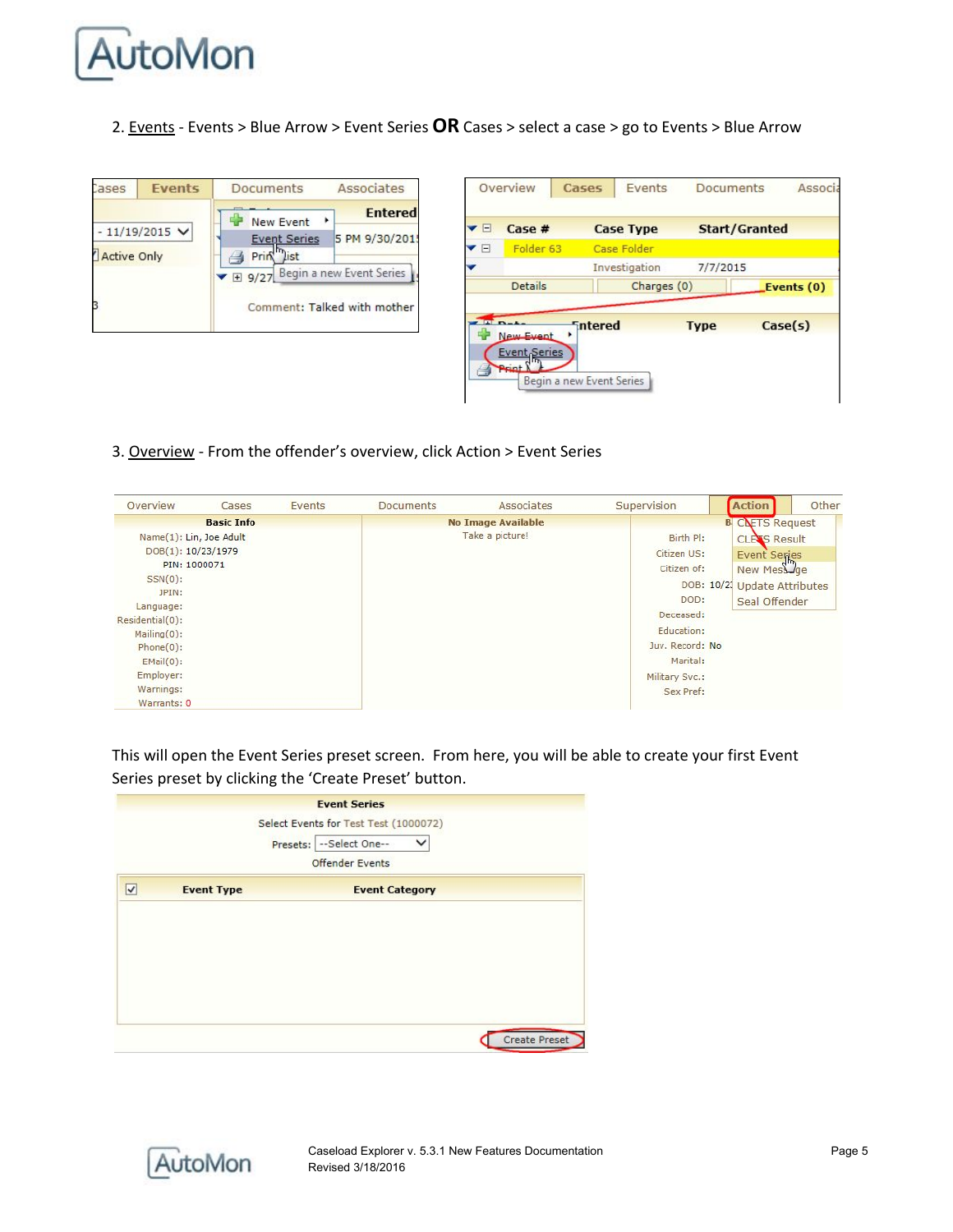

2. Events - Events > Blue Arrow > Event Series **OR** Cases > select a case > go to Events > Blue Arrow

| Cases                                 | <b>Events</b> | <b>Documents</b>              | Associates     |  |  |  |
|---------------------------------------|---------------|-------------------------------|----------------|--|--|--|
|                                       |               | <b>New Event</b>              | <b>Entered</b> |  |  |  |
| $-11/19/2015$ V<br><b>Active Only</b> |               | <b>Event Series</b>           | 5 PM 9/30/201  |  |  |  |
|                                       |               | Prin<br>list                  |                |  |  |  |
|                                       |               | 9/27 Begin a new Event Series |                |  |  |  |
|                                       |               | Comment: Talked with mother   |                |  |  |  |

| Folder <sub>63</sub> | Case Folder   |                 |                            |
|----------------------|---------------|-----------------|----------------------------|
|                      |               |                 |                            |
|                      | Investigation | 7/7/2015        |                            |
| <b>Details</b>       |               |                 | Events (0)                 |
|                      |               |                 | Case(s)                    |
| New Event            |               |                 |                            |
|                      | Event Series  | <b>Fintered</b> | Charges (0)<br><b>Type</b> |

3. Overview - From the offender's overview, click Action > Event Series

| Overview                | Cases             | Events | <b>Documents</b> | Associates                | Supervision     | Action                       | Other |
|-------------------------|-------------------|--------|------------------|---------------------------|-----------------|------------------------------|-------|
|                         | <b>Basic Info</b> |        |                  | <b>No Image Available</b> |                 | <b>B</b> CLETS Request       |       |
| Name(1): Lin, Joe Adult |                   |        |                  | Take a picture!           | Birth Pl:       | <b>CLEAS Result</b>          |       |
| DOB(1): 10/23/1979      |                   |        |                  |                           | Citizen US:     | <b>Event Series</b>          |       |
| PIN: 1000071            |                   |        |                  |                           | Citizen of:     | New Mess Jae                 |       |
| $SSN(0)$ :              |                   |        |                  |                           |                 | DOB: 10/21 Update Attributes |       |
| JPIN:                   |                   |        |                  |                           | DOD:            |                              |       |
| Language:               |                   |        |                  |                           | Deceased:       | Seal Offender                |       |
| Residential(0):         |                   |        |                  |                           |                 |                              |       |
| $Mailing(0)$ :          |                   |        |                  |                           | Education:      |                              |       |
| $Phone(0)$ :            |                   |        |                  |                           | Juv. Record: No |                              |       |
| $EMail(0)$ :            |                   |        |                  |                           | Marital:        |                              |       |
| Employer:               |                   |        |                  |                           | Military Svc.:  |                              |       |
| Warnings:               |                   |        |                  |                           | Sex Pref:       |                              |       |
| Warrants: 0             |                   |        |                  |                           |                 |                              |       |

This will open the Event Series preset screen. From here, you will be able to create your first Event Series preset by clicking the 'Create Preset' button.

|   |                   | Select Events for Test Test (1000072) |
|---|-------------------|---------------------------------------|
|   |                   | Presets: -- Select One--<br>◡         |
|   |                   | <b>Offender Events</b>                |
| √ | <b>Event Type</b> | <b>Event Category</b>                 |
|   |                   |                                       |
|   |                   |                                       |
|   |                   |                                       |
|   |                   |                                       |
|   |                   |                                       |
|   |                   |                                       |

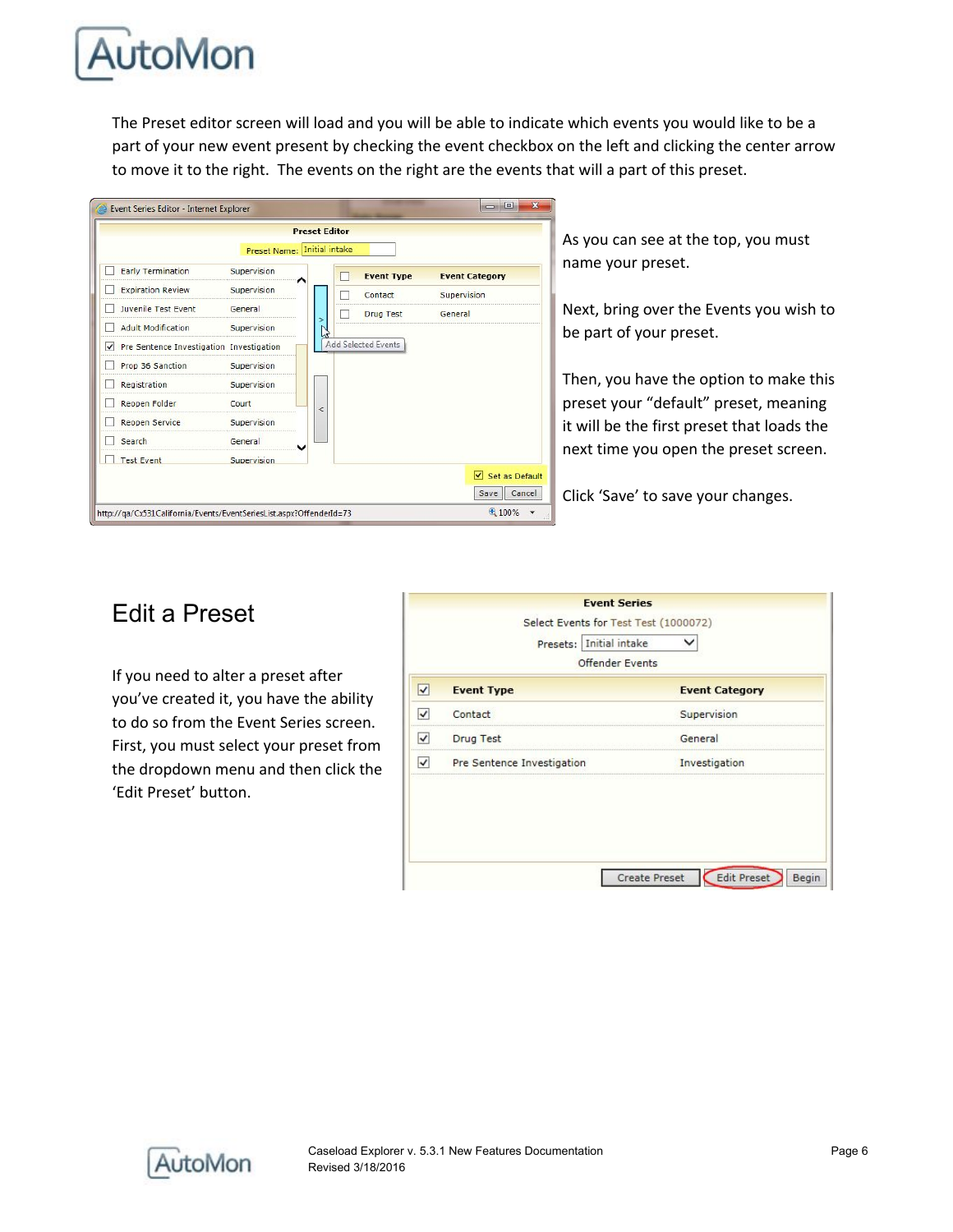

The Preset editor screen will load and you will be able to indicate which events you would like to be a part of your new event present by checking the event checkbox on the left and clicking the center arrow to move it to the right. The events on the right are the events that will a part of this preset.



As you can see at the top, you must name your preset.

Next, bring over the Events you wish to be part of your preset.

Then, you have the option to make this preset your "default" preset, meaning it will be the first preset that loads the next time you open the preset screen.

Click 'Save' to save your changes.

## <span id="page-5-0"></span>Edit a Preset

If you need to alter a preset after you've created it, you have the ability to do so from the Event Series screen. First, you must select your preset from the dropdown menu and then click the 'Edit Preset' button.

| <b>Event Category</b> |
|-----------------------|
| Supervision           |
| General               |
| Investigation         |
|                       |

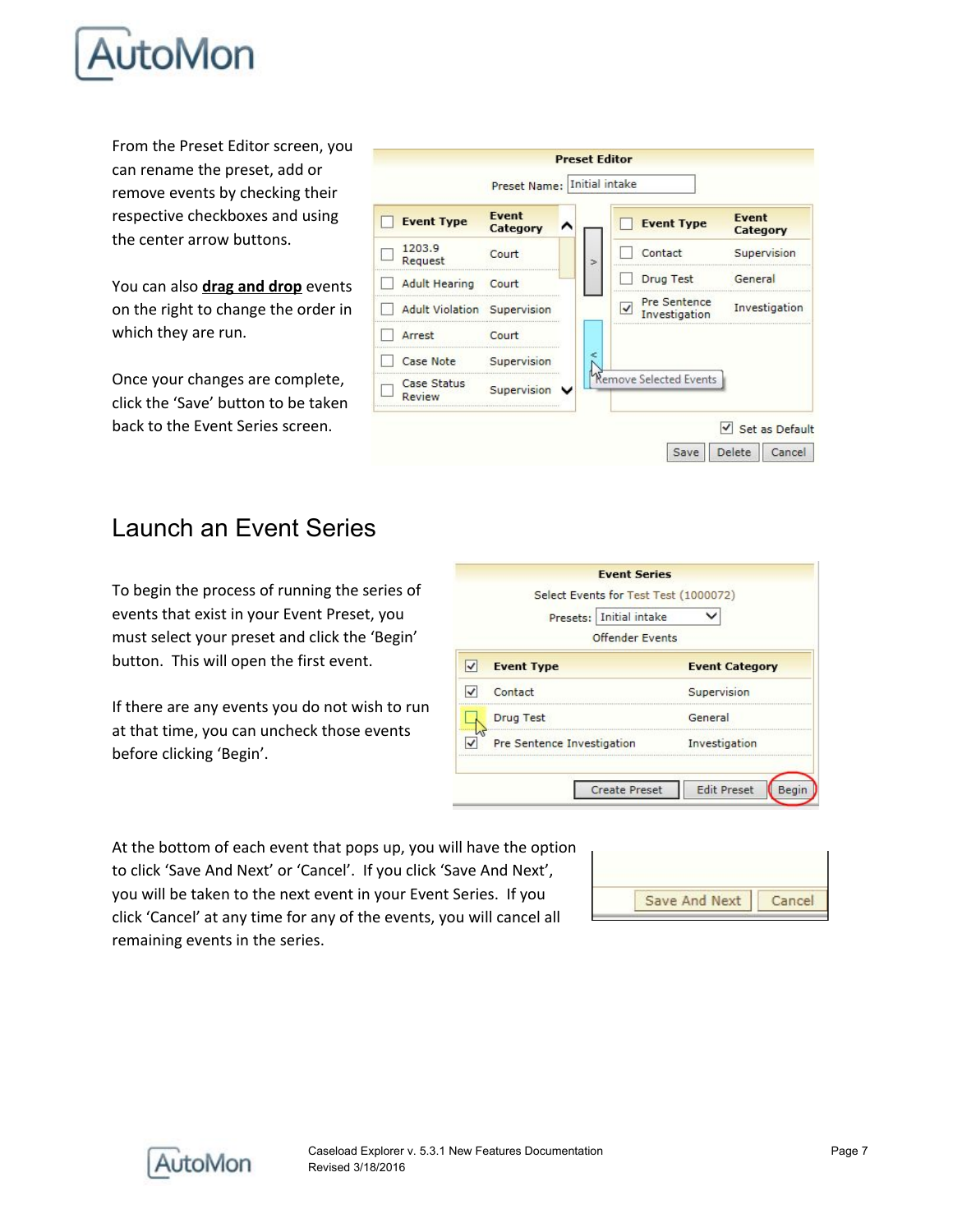

From the Preset Editor screen, you can rename the preset, add or remove events by checking their respective checkboxes and using the center arrow buttons.

You can also **drag and drop** events on the right to change the order in which they are run.

Once your changes are complete, click the 'Save' button to be taken back to the Event Series screen.

|                                     | Preset Name: Initial intake |               |                               |                          |
|-------------------------------------|-----------------------------|---------------|-------------------------------|--------------------------|
| <b>Event Type</b>                   | Event<br>Category           |               | <b>Event Type</b>             | <b>Event</b><br>Category |
| 1203.9<br>Request                   | Court                       | $\Rightarrow$ | Contact                       | Supervision              |
| <b>Adult Hearing</b>                | Court                       |               | <b>Drug Test</b>              | General                  |
| <b>Adult Violation Supervision</b>  |                             |               | Pre Sentence<br>Investigation | Investigation            |
| Arrest                              | Court                       |               |                               |                          |
| <b>Case Note</b>                    | Supervision                 | e             |                               |                          |
| <b>Case Status</b><br><b>Review</b> | Supervision V               |               | Remove Selected Events        |                          |

## <span id="page-6-0"></span>Launch an Event Series

To begin the process of running the series of events that exist in your Event Preset, you must select your preset and click the 'Begin' button. This will open the first event.

If there are any events you do not wish to run at that time, you can uncheck those events before clicking 'Begin'.

|                                   | <b>Event Series</b>                                 |
|-----------------------------------|-----------------------------------------------------|
|                                   | Select Events for Test Test (1000072)               |
| Presets:   Initial intake         |                                                     |
|                                   | <b>Offender Events</b>                              |
| <b>Event Type</b>                 | <b>Event Category</b>                               |
| Contact                           | Supervision                                         |
| <b>Drug Test</b>                  | General                                             |
| <b>Pre Sentence Investigation</b> | Investigation                                       |
|                                   |                                                     |
|                                   | <b>Edit Preset</b><br><b>Create Preset</b><br>Begin |

At the bottom of each event that pops up, you will have the option to click 'Save And Next' or 'Cancel'. If you click 'Save And Next', you will be taken to the next event in your Event Series. If you click 'Cancel' at any time for any of the events, you will cancel all remaining events in the series.



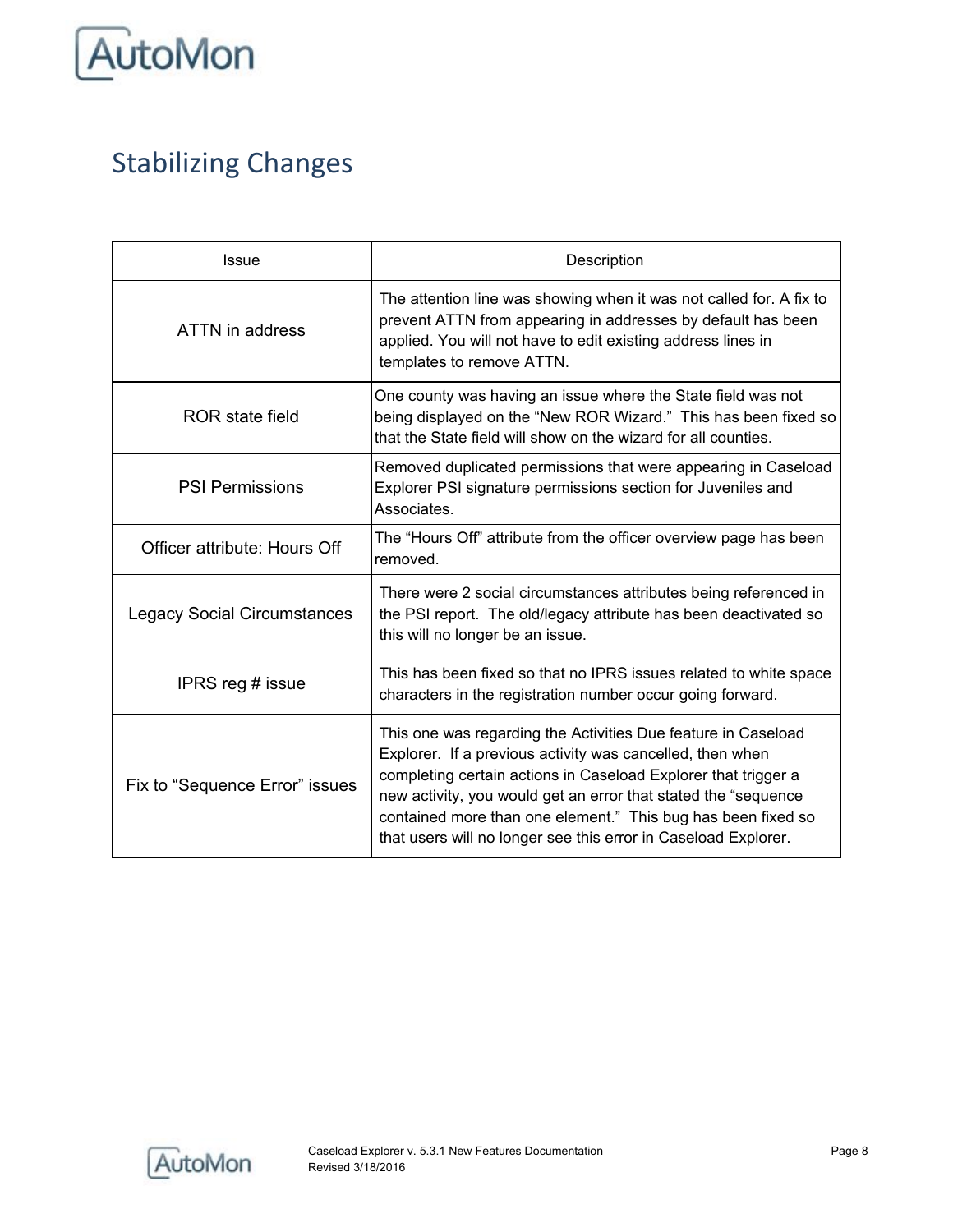

# <span id="page-7-0"></span>Stabilizing Changes

| Issue                              | Description                                                                                                                                                                                                                                                                                                                                                                                      |
|------------------------------------|--------------------------------------------------------------------------------------------------------------------------------------------------------------------------------------------------------------------------------------------------------------------------------------------------------------------------------------------------------------------------------------------------|
| ATTN in address                    | The attention line was showing when it was not called for. A fix to<br>prevent ATTN from appearing in addresses by default has been<br>applied. You will not have to edit existing address lines in<br>templates to remove ATTN.                                                                                                                                                                 |
| ROR state field                    | One county was having an issue where the State field was not<br>being displayed on the "New ROR Wizard." This has been fixed so<br>that the State field will show on the wizard for all counties.                                                                                                                                                                                                |
| <b>PSI Permissions</b>             | Removed duplicated permissions that were appearing in Caseload<br>Explorer PSI signature permissions section for Juveniles and<br>Associates.                                                                                                                                                                                                                                                    |
| Officer attribute: Hours Off       | The "Hours Off" attribute from the officer overview page has been<br>removed.                                                                                                                                                                                                                                                                                                                    |
| <b>Legacy Social Circumstances</b> | There were 2 social circumstances attributes being referenced in<br>the PSI report. The old/legacy attribute has been deactivated so<br>this will no longer be an issue.                                                                                                                                                                                                                         |
| IPRS reg # issue                   | This has been fixed so that no IPRS issues related to white space<br>characters in the registration number occur going forward.                                                                                                                                                                                                                                                                  |
| Fix to "Sequence Error" issues     | This one was regarding the Activities Due feature in Caseload<br>Explorer. If a previous activity was cancelled, then when<br>completing certain actions in Caseload Explorer that trigger a<br>new activity, you would get an error that stated the "sequence<br>contained more than one element." This bug has been fixed so<br>that users will no longer see this error in Caseload Explorer. |